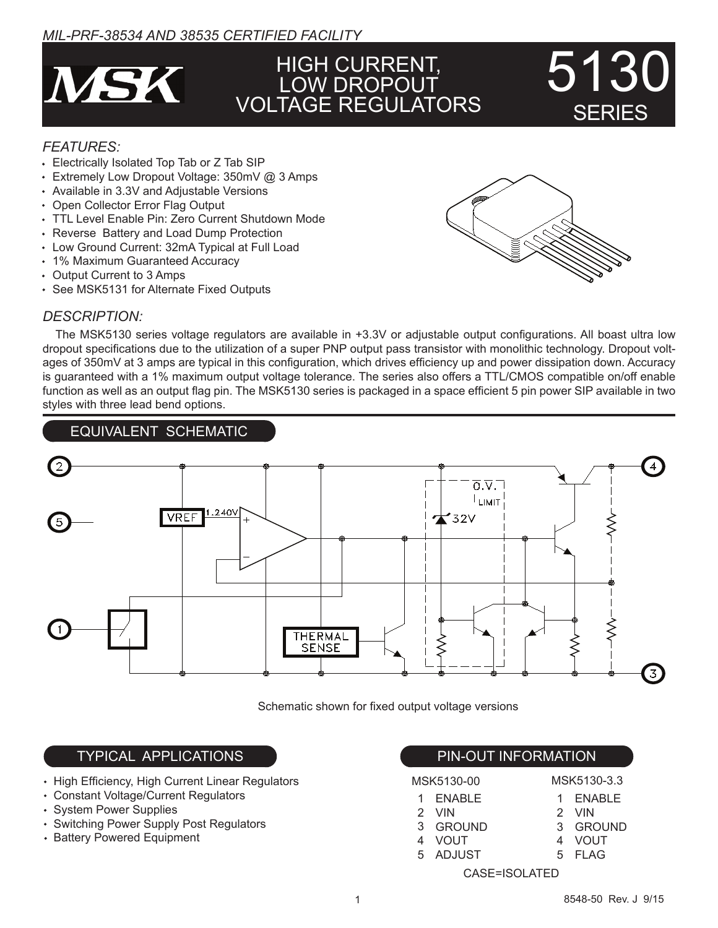# *MIL-PRF-38534 AND 38535 CERTIFIED FACILITY*



# HIGH CURRENT, LOW DROPOUT VOLTAGE REGULATORS

## *FEATURES:*

- Electrically Isolated Top Tab or Z Tab SIP
- Extremely Low Dropout Voltage: 350mV @ 3 Amps
- Available in 3.3V and Adjustable Versions
- Open Collector Error Flag Output
- TTL Level Enable Pin: Zero Current Shutdown Mode
- Reverse Battery and Load Dump Protection
- Low Ground Current: 32mA Typical at Full Load
- 1% Maximum Guaranteed Accuracy
- Output Current to 3 Amps
- See MSK5131 for Alternate Fixed Outputs

## *DESCRIPTION:*

 The MSK5130 series voltage regulators are available in +3.3V or adjustable output configurations. All boast ultra low dropout specifications due to the utilization of a super PNP output pass transistor with monolithic technology. Dropout voltages of 350mV at 3 amps are typical in this configuration, which drives efficiency up and power dissipation down. Accuracy is guaranteed with a 1% maximum output voltage tolerance. The series also offers a TTL/CMOS compatible on/off enable function as well as an output flag pin. The MSK5130 series is packaged in a space efficient 5 pin power SIP available in two styles with three lead bend options.



Schematic shown for fixed output voltage versions

# TYPICAL APPLICATIONS And the state of the PIN-OUT INFORMATION

- High Efficiency, High Current Linear Regulators
- Constant Voltage/Current Regulators
- System Power Supplies
- Switching Power Supply Post Regulators
- Battery Powered Equipment

MSK5130-00

1

4 VOUT ADJUST 5

| MSK5130-3.3 |
|-------------|
| ENABLE      |

- ENABLE VIN 2 GROUND 3
	- 3 GROUND
		- 4 VOUT 5 FLAG

1 2 VIN

CASE=ISOLATED



SERIES

5130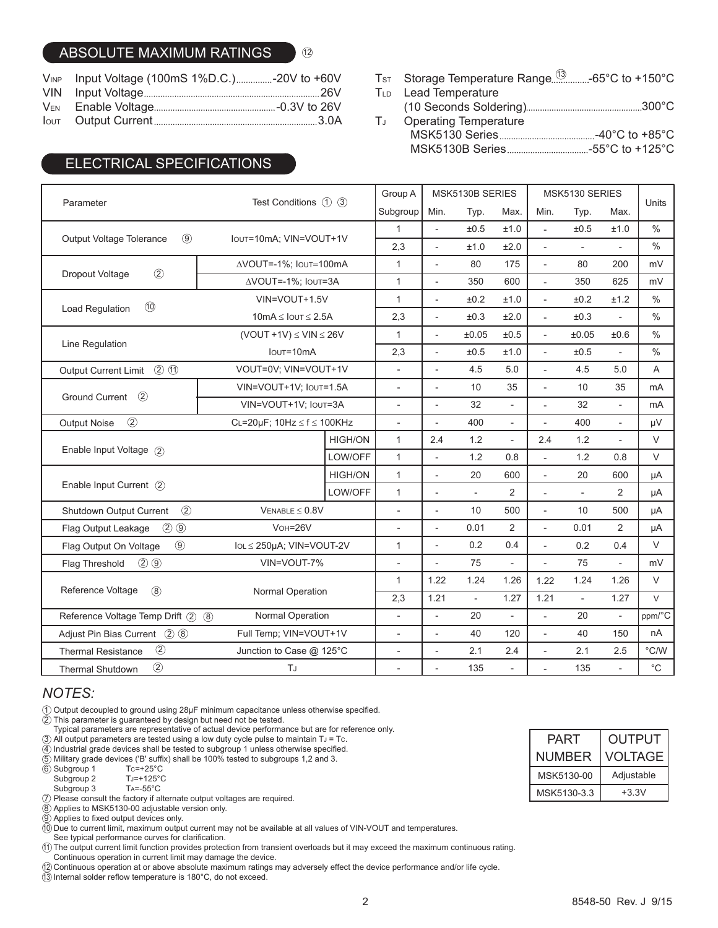## ABSOLUTE MAXIMUM RATINGS

| VINP Input Voltage (100mS 1%D.C.)-20V to +60V |  |
|-----------------------------------------------|--|
|                                               |  |
|                                               |  |
|                                               |  |

 $(12)$ 

# ELECTRICAL SPECIFICATIONS

Ts⊤ Storage Temperature Range...............-65°C to +150°C

- TLD Lead Temperature
	- (10 Seconds Soldering) 300°C
- Operating Temperature MSK5130 Series -40°C to +85°C MSK5130B Series -55°C to +125°C TJ

|                                                                      | Test Conditions (1) (3)                                  |                       | Group A                  | MSK5130B SERIES          |                          |                          | MSK5130 SERIES           |                          |                          |                   |
|----------------------------------------------------------------------|----------------------------------------------------------|-----------------------|--------------------------|--------------------------|--------------------------|--------------------------|--------------------------|--------------------------|--------------------------|-------------------|
| Parameter                                                            |                                                          |                       | Subgroup                 | Min.                     | Typ.                     | Max.                     | Min.                     | Typ.                     | Max.                     | Units             |
|                                                                      | IOUT=10mA; VIN=VOUT+1V                                   |                       | $\mathbf{1}$             | $\blacksquare$           | ±0.5                     | ±1.0                     | $\blacksquare$           | ±0.5                     | ±1.0                     | $\frac{0}{0}$     |
| $\circledcirc$<br><b>Output Voltage Tolerance</b>                    |                                                          |                       | 2,3                      | $\overline{a}$           | ±1.0                     | ±2.0                     | $\overline{a}$           | $\overline{a}$           |                          | $\%$              |
|                                                                      |                                                          | AVOUT=-1%; Iout=100mA |                          | $\overline{a}$           | 80                       | 175                      | $\overline{\phantom{a}}$ | 80                       | 200                      | mV                |
| $\circled{2}$<br>Dropout Voltage                                     | AVOUT=-1%; Iout=3A                                       |                       | $\mathbf{1}$             | $\overline{\phantom{a}}$ | 350                      | 600                      | $\overline{\phantom{a}}$ | 350                      | 625                      | mV                |
| (1)                                                                  | VIN=VOUT+1.5V                                            |                       | $\mathbf{1}$             | $\overline{\phantom{a}}$ | ±0.2                     | ±1.0                     | L,                       | ±0.2                     | ±1.2                     | $\frac{0}{0}$     |
| Load Regulation                                                      | $10mA \leq 10UT \leq 2.5A$                               |                       | 2,3                      | $\overline{\phantom{a}}$ | $\pm 0.3$                | ±2.0                     | $\overline{\phantom{a}}$ | ±0.3                     |                          | $\%$              |
|                                                                      | $(VOUT +1V) \leq VIN \leq 26V$                           |                       | $\mathbf{1}$             | $\overline{\phantom{a}}$ | ±0.05                    | ±0.5                     | $\overline{\phantom{a}}$ | ±0.05                    | ±0.6                     | $\%$              |
| Line Regulation                                                      | $I$ <sub>OUT</sub> =10 $mA$                              |                       | 2,3                      | $\overline{\phantom{a}}$ | ±0.5                     | ±1.0                     | L,                       | ±0.5                     | $\overline{a}$           | $\frac{0}{0}$     |
| $(2)$ $(1)$<br>Output Current Limit                                  | VOUT=0V; VIN=VOUT+1V                                     |                       | $\overline{\phantom{a}}$ |                          | 4.5                      | 5.0                      |                          | 4.5                      | 5.0                      | A                 |
|                                                                      | VIN=VOUT+1V; IouT=1.5A                                   |                       | $\overline{\phantom{a}}$ | $\overline{a}$           | 10                       | 35                       | L,                       | 10                       | 35                       | mA                |
| $\circled{2}$<br><b>Ground Current</b>                               | VIN=VOUT+1V: IOUT=3A                                     |                       | $\overline{\phantom{a}}$ | $\overline{\phantom{a}}$ | 32                       | $\overline{\phantom{0}}$ | L,                       | 32                       | $\overline{\phantom{a}}$ | mA                |
| $\circled{2}$<br><b>Output Noise</b>                                 | CL=20µF; $10Hz \le f \le 100KHz$                         |                       | $\overline{\phantom{a}}$ |                          | 400                      | $\overline{\phantom{0}}$ |                          | 400                      | $\overline{a}$           | μV                |
|                                                                      |                                                          | <b>HIGH/ON</b>        | $\mathbf{1}$             | 2.4                      | 1.2                      | $\overline{\phantom{a}}$ | 2.4                      | 1.2                      | $\overline{a}$           | $\vee$            |
| Enable Input Voltage (2)                                             |                                                          | LOW/OFF               | $\mathbf{1}$             | $\overline{\phantom{a}}$ | 1.2                      | 0.8                      | ÷,                       | 1.2                      | 0.8                      | $\vee$            |
|                                                                      |                                                          | <b>HIGH/ON</b>        | $\mathbf{1}$             |                          | 20                       | 600                      | $\overline{a}$           | 20                       | 600                      | μA                |
| Enable Input Current (2)                                             |                                                          | LOW/OFF               | $\mathbf{1}$             | $\overline{a}$           | $\overline{\phantom{a}}$ | $\overline{2}$           | $\overline{a}$           | $\overline{\phantom{a}}$ | $\overline{2}$           | μA                |
| $\circled{2}$<br>Shutdown Output Current                             | $V_{ENABLE} \leq 0.8V$                                   |                       | $\overline{\phantom{a}}$ | $\overline{\phantom{0}}$ | 10                       | 500                      | L,                       | 10                       | 500                      | μA                |
| $(2)$ $(9)$<br>Flag Output Leakage                                   | $V$ OH= $26V$                                            |                       | $\overline{\phantom{a}}$ | $\overline{\phantom{a}}$ | 0.01                     | 2                        |                          | 0.01                     | 2                        | μA                |
| $\circledcirc$<br>lo∟ ≤ 250µA; VIN=VOUT-2V<br>Flag Output On Voltage |                                                          |                       | 1                        | $\overline{a}$           | 0.2                      | 0.4                      | $\overline{\phantom{a}}$ | 0.2                      | 0.4                      | $\vee$            |
| $(2)$ $(9)$<br>Flag Threshold                                        | VIN=VOUT-7%                                              |                       | $\overline{\phantom{a}}$ | $\overline{a}$           | 75                       | $\overline{a}$           | ÷,                       | 75                       | $\overline{\phantom{0}}$ | mV                |
|                                                                      |                                                          | Normal Operation      |                          | 1.22                     | 1.24                     | 1.26                     | 1.22                     | 1.24                     | 1.26                     | $\vee$            |
| Reference Voltage<br>$\circledR$                                     |                                                          |                       |                          | 1.21                     | $\overline{\phantom{a}}$ | 1.27                     | 1.21                     | $\overline{\phantom{a}}$ | 1.27                     | $\vee$            |
|                                                                      | Normal Operation<br>Reference Voltage Temp Drift (2) (8) |                       | $\overline{\phantom{a}}$ | $\overline{\phantom{0}}$ | 20                       |                          | $\overline{a}$           | 20                       | $\overline{\phantom{0}}$ | ppm/°C            |
| Adjust Pin Bias Current 2 8                                          | Full Temp; VIN=VOUT+1V                                   |                       | $\overline{\phantom{a}}$ | $\overline{\phantom{a}}$ | 40                       | 120                      | $\overline{\phantom{a}}$ | 40                       | 150                      | nA                |
| $\circled{2}$<br><b>Thermal Resistance</b>                           | Junction to Case @ 125°C                                 |                       | $\overline{a}$           | $\overline{a}$           | 2.1                      | 2.4                      | $\overline{a}$           | 2.1                      | 2.5                      | °C/W              |
| $\circled{2}$<br>TJ<br><b>Thermal Shutdown</b>                       |                                                          |                       |                          |                          | 135                      |                          |                          | 135                      |                          | $^{\circ}{\rm C}$ |

## *NOTES:*

1 Output decoupled to ground using 28µF minimum capacitance unless otherwise specified.

2 This parameter is guaranteed by design but need not be tested.

Typical parameters are representative of actual device performance but are for reference only.

3 All output parameters are tested using a low duty cycle pulse to maintain TJ = Tc.

4 Industrial grade devices shall be tested to subgroup 1 unless otherwise specified.

5 Military grade devices ('B' suffix) shall be 100% tested to subgroups 1,2 and 3.

6 Subgroup 1 Tc=+25°C

Subgroup 2 TJ=+125°C

Subgroup 3 TA=-55°C

7 Please consult the factory if alternate output voltages are required.

8 Applies to MSK5130-00 adjustable version only.

9 Applies to fixed output devices only.

10 Due to current limit, maximum output current may not be available at all values of VIN-VOUT and temperatures.

See typical performance curves for clarification.

11 The output current limit function provides protection from transient overloads but it may exceed the maximum continuous rating.

Continuous operation in current limit may damage the device.

12 Continuous operation at or above absolute maximum ratings may adversely effect the device performance and/or life cycle.

13 Internal solder reflow temperature is 180°C, do not exceed.

| PART          | <b>OUTPUT</b>  |
|---------------|----------------|
| <b>NUMBER</b> | <b>VOLTAGE</b> |
| MSK5130-00    | Adjustable     |
| MSK5130-3.3   | $+3.3V$        |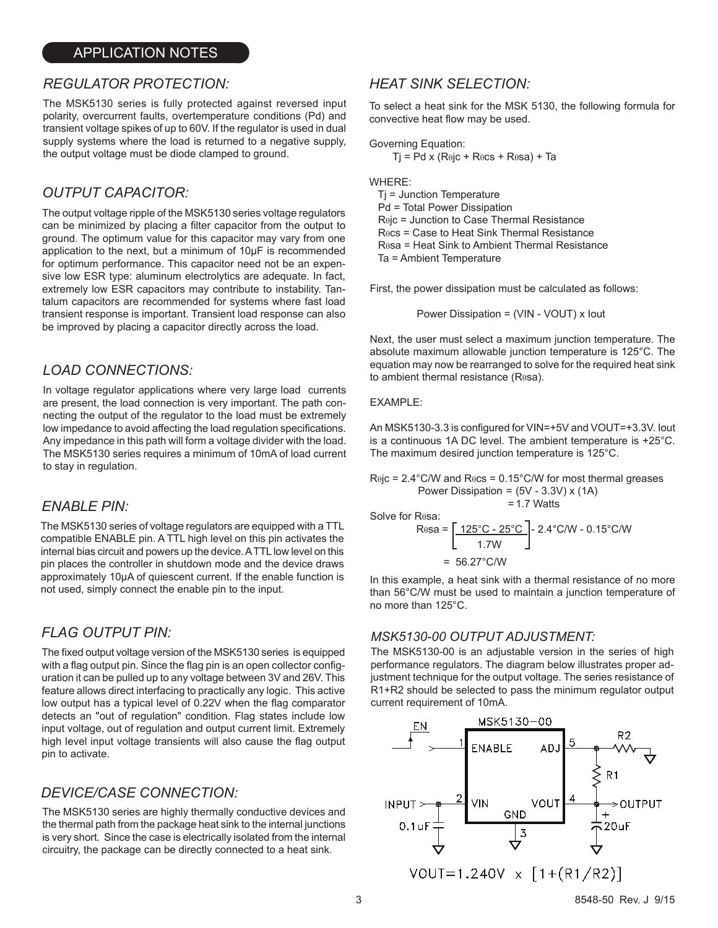### APPLICATION NOTES

## *REGULATOR PROTECTION: HEAT SINK SELECTION:*

The MSK5130 series is fully protected against reversed input polarity, overcurrent faults, overtemperature conditions (Pd) and transient voltage spikes of up to 60V. If the regulator is used in dual supply systems where the load is returned to a negative supply, the output voltage must be diode clamped to ground.

## *OUTPUT CAPACITOR:*

The output voltage ripple of the MSK5130 series voltage regulators can be minimized by placing a filter capacitor from the output to ground. The optimum value for this capacitor may vary from one application to the next, but a minimum of 10µF is recommended for optimum performance. This capacitor need not be an expensive low ESR type: aluminum electrolytics are adequate. In fact, extremely low ESR capacitors may contribute to instability. Tantalum capacitors are recommended for systems where fast load transient response is important. Transient load response can also be improved by placing a capacitor directly across the load.

## *LOAD CONNECTIONS:*

In voltage regulator applications where very large load currents are present, the load connection is very important. The path connecting the output of the regulator to the load must be extremely low impedance to avoid affecting the load regulation specifications. Any impedance in this path will form a voltage divider with the load. The MSK5130 series requires a minimum of 10mA of load current to stay in regulation.

### *ENABLE PIN:*

The MSK5130 series of voltage regulators are equipped with a TTL compatible ENABLE pin. A TTL high level on this pin activates the internal bias circuit and powers up the device. A TTL low level on this pin places the controller in shutdown mode and the device draws approximately 10µA of quiescent current. If the enable function is not used, simply connect the enable pin to the input.

## *FLAG OUTPUT PIN:*

The fixed output voltage version of the MSK5130 series is equipped with a flag output pin. Since the flag pin is an open collector configuration it can be pulled up to any voltage between 3V and 26V. This feature allows direct interfacing to practically any logic. This active low output has a typical level of 0.22V when the flag comparator detects an "out of regulation" condition. Flag states include low input voltage, out of regulation and output current limit. Extremely high level input voltage transients will also cause the flag output pin to activate.

## *DEVICE/CASE CONNECTION:*

The MSK5130 series are highly thermally conductive devices and the thermal path from the package heat sink to the internal junctions is very short. Since the case is electrically isolated from the internal circuitry, the package can be directly connected to a heat sink.

To select a heat sink for the MSK 5130, the following formula for convective heat flow may be used.

Governing Equation:

$$
Tj = Pd \times (R\theta jc + R\theta cs + R\theta sa) + Ta
$$

WHERE:

 Tj = Junction Temperature Pd = Total Power Dissipation Rθjc = Junction to Case Thermal Resistance Rθcs = Case to Heat Sink Thermal Resistance Rθsa = Heat Sink to Ambient Thermal Resistance Ta = Ambient Temperature

First, the power dissipation must be calculated as follows:

Power Dissipation = (VIN - VOUT) x Iout

Next, the user must select a maximum junction temperature. The absolute maximum allowable junction temperature is 125°C. The equation may now be rearranged to solve for the required heat sink to ambient thermal resistance (Rθsa).

#### EXAMPLE:

An MSK5130-3.3 is configured for VIN=+5V and VOUT=+3.3V. Iout is a continuous 1A DC level. The ambient temperature is +25°C. The maximum desired junction temperature is 125°C.

 $R\theta$ jc = 2.4°C/W and  $R\theta$ cs = 0.15°C/W for most thermal greases Power Dissipation =  $(5V - 3.3V)$  x  $(1A)$ =1.7 Watts

Solve for Resa:

$$
R_{\theta} = \left[ \frac{125^{\circ}C - 25^{\circ}C}{1.7W} \right]^{-2.4^{\circ}C/W - 0.15^{\circ}C/W}
$$

= 56.27°C/W

In this example, a heat sink with a thermal resistance of no more than 56°C/W must be used to maintain a junction temperature of no more than 125°C.

#### *MSK5130-00 OUTPUT ADJUSTMENT:*

The MSK5130-00 is an adjustable version in the series of high performance regulators. The diagram below illustrates proper adjustment technique for the output voltage. The series resistance of R1+R2 should be selected to pass the minimum regulator output current requirement of 10mA.

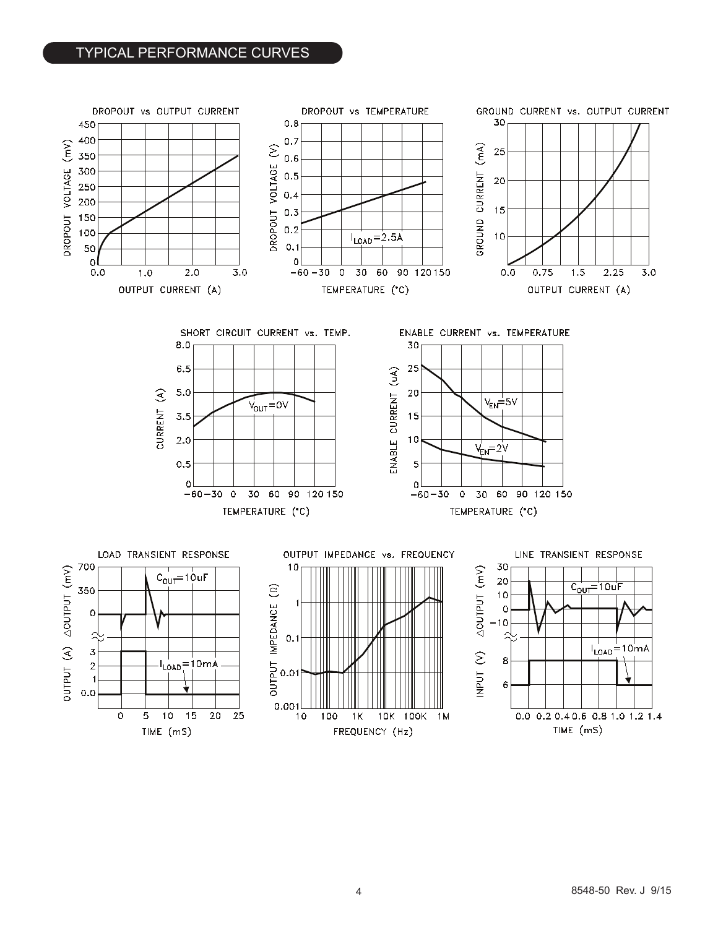## TYPICAL PERFORMANCE CURVES

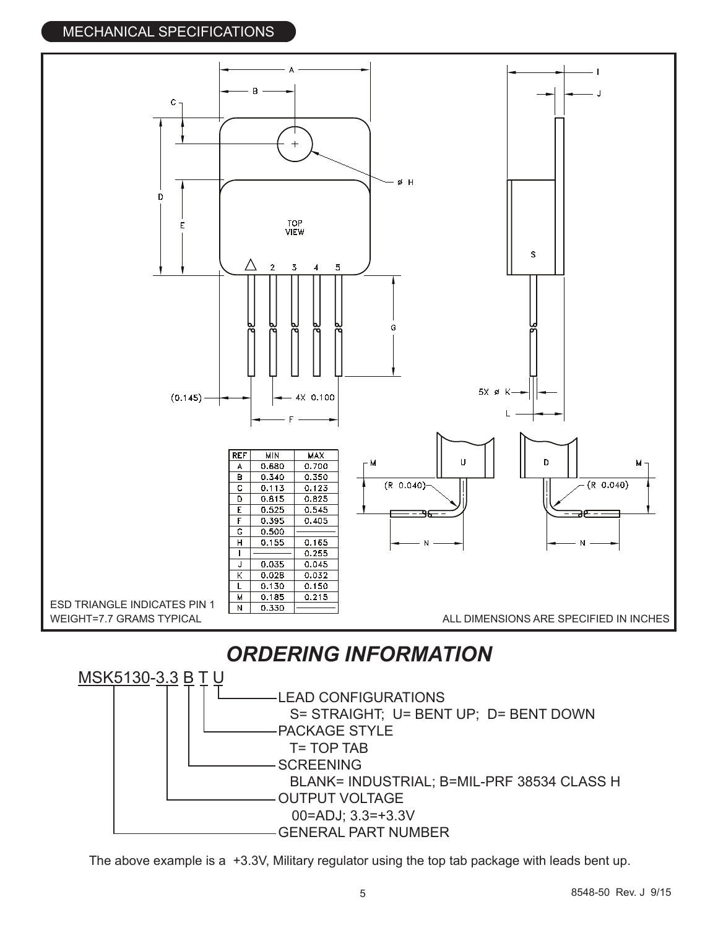# MECHANICAL SPECIFICATIONS



BLANK= INDUSTRIAL; B=MIL-PRF 38534 CLASS H

- OUTPUT VOLTAGE 00=ADJ; 3.3=+3.3V
- GENERAL PART NUMBER

The above example is a +3.3V, Military regulator using the top tab package with leads bent up.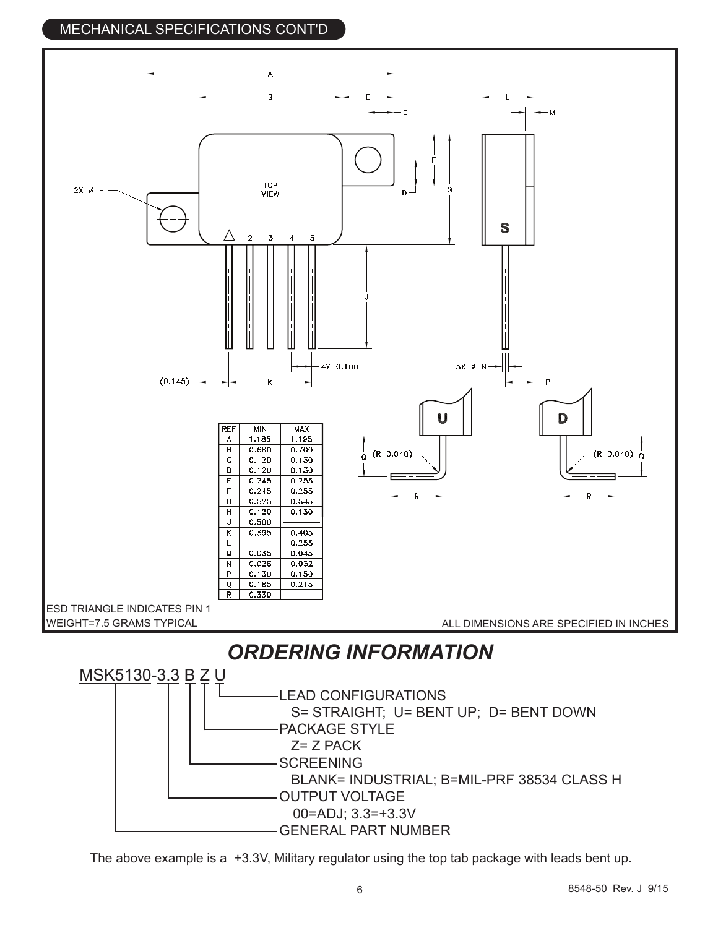# MECHANICAL SPECIFICATIONS CONT'D



- OUTPUT VOLTAGE
	- 00=ADJ; 3.3=+3.3V
- GENERAL PART NUMBER

The above example is a +3.3V, Military regulator using the top tab package with leads bent up.